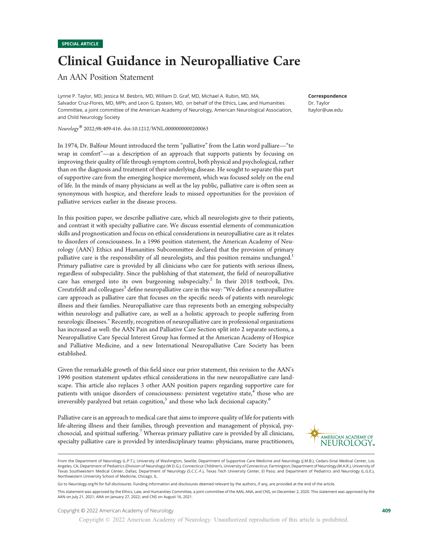# Clinical Guidance in Neuropalliative Care

# An AAN Position Statement

Lynne P. Taylor, MD, Jessica M. Besbris, MD, William D. Graf, MD, Michael A. Rubin, MD, MA, Salvador Cruz-Flores, MD, MPh, and Leon G. Epstein, MD, on behalf of the Ethics, Law, and Humanities Committee, a joint committee of the American Academy of Neurology, American Neurological Association, and Child Neurology Society

Correspondence

Dr. Taylor [ltaylor@uw.edu](mailto:ltaylor@uw.edu)

Neurology® 2022;98:409-416. doi:10.1212/WNL.0000000000200063

In 1974, Dr. Balfour Mount introduced the term "palliative" from the Latin word palliare—"to wrap in comfort"—as a description of an approach that supports patients by focusing on improving their quality of life through symptom control, both physical and psychological, rather than on the diagnosis and treatment of their underlying disease. He sought to separate this part of supportive care from the emerging hospice movement, which was focused solely on the end of life. In the minds of many physicians as well as the lay public, palliative care is often seen as synonymous with hospice, and therefore leads to missed opportunities for the provision of palliative services earlier in the disease process.

In this position paper, we describe palliative care, which all neurologists give to their patients, and contrast it with specialty palliative care. We discuss essential elements of communication skills and prognostication and focus on ethical considerations in neuropalliative care as it relates to disorders of consciousness. In a 1996 position statement, the American Academy of Neurology (AAN) Ethics and Humanities Subcommittee declared that the provision of primary palliative care is the responsibility of all neurologists, and this position remains unchanged.<sup>1</sup> Primary palliative care is provided by all clinicians who care for patients with serious illness, regardless of subspeciality. Since the publishing of that statement, the field of neuropalliative care has emerged into its own burgeoning subspecialty.<sup>2</sup> In their 2018 textbook, Drs. Creutzfeldt and colleagues<sup>3</sup> define neuropalliative care in this way: "We define a neuropalliative care approach as palliative care that focuses on the specific needs of patients with neurologic illness and their families. Neuropalliative care thus represents both an emerging subspecialty within neurology and palliative care, as well as a holistic approach to people suffering from neurologic illnesses." Recently, recognition of neuropalliative care in professional organizations has increased as well: the AAN Pain and Palliative Care Section split into 2 separate sections, a Neuropalliative Care Special Interest Group has formed at the American Academy of Hospice and Palliative Medicine, and a new International Neuropalliative Care Society has been established.

Given the remarkable growth of this field since our prior statement, this revision to the AAN's 1996 position statement updates ethical considerations in the new neuropalliative care landscape. This article also replaces 3 other AAN position papers regarding supportive care for patients with unique disorders of consciousness: persistent vegetative state, $4$  those who are irreversibly paralyzed but retain cognition, $<sup>5</sup>$  and those who lack decisional capacity.<sup>6</sup></sup>

Palliative care is an approach to medical care that aims to improve quality of life for patients with life-altering illness and their families, through prevention and management of physical, psychosocial, and spiritual suffering.<sup>7</sup> Whereas primary palliative care is provided by all clinicians, specialty palliative care is provided by interdisciplinary teams: physicians, nurse practitioners,



From the Department of Neurology (L.P.T.), University of Washington, Seattle; Department of Supportive Care Medicine and Neurology (J.M.B.), Cedars-Sinai Medical Center, Los Angeles, CA; Department of Pediatrics (Division of Neurology) (W.D.G.), Connecticut Children's, University of Connecticut, Farmington; Department of Neurology (M.A.R.), University of Texas Southwestern Medical Center, Dallas; Department of Neurology (S.C.C.-F.), Texas Tech University Center, El Paso; and Department of Pediatrics and Neurology (L.G.E.), Northwestern University School of Medicine, Chicago, IL.

Copyright © 2022 American Academy of Neurology. Unauthorized reproduction of this article is prohibited.

Go to [Neurology.org/N](https://n.neurology.org/lookup/doi/10.1212/WNL.0000000000200063) for full disclosures. Funding information and disclosures deemed relevant by the authors, if any, are provided at the end of the article.

This statement was approved by the Ethics, Law, and Humanities Committee, a joint committee of the AAN, ANA, and CNS, on December 2, 2020. This statement was approved by the AAN on July 21, 2021; ANA on January 27, 2022; and CNS on August 16, 2021.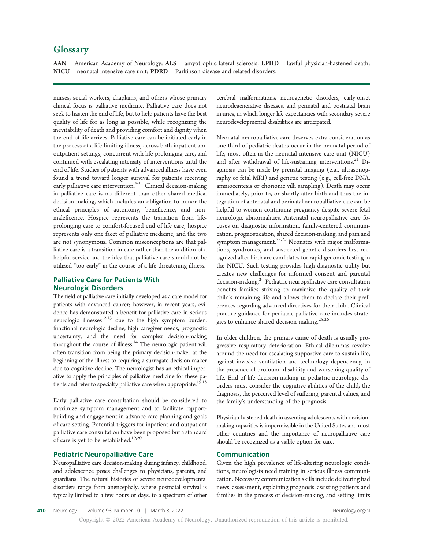# **Glossary**

AAN = American Academy of Neurology; ALS = amyotrophic lateral sclerosis; LPHD = lawful physician-hastened death;  $NICU$  = neonatal intensive care unit;  $PDRD$  = Parkinson disease and related disorders.

nurses, social workers, chaplains, and others whose primary clinical focus is palliative medicine. Palliative care does not seek to hasten the end of life, but to help patients have the best quality of life for as long as possible, while recognizing the inevitability of death and providing comfort and dignity when the end of life arrives. Palliative care can be initiated early in the process of a life-limiting illness, across both inpatient and outpatient settings, concurrent with life-prolonging care, and continued with escalating intensity of interventions until the end of life. Studies of patients with advanced illness have even found a trend toward longer survival for patients receiving early palliative care intervention.<sup>8-11</sup> Clinical decision-making in palliative care is no different than other shared medical decision-making, which includes an obligation to honor the ethical principles of autonomy, beneficence, and nonmaleficence. Hospice represents the transition from lifeprolonging care to comfort-focused end of life care; hospice represents only one facet of palliative medicine, and the two are not synonymous. Common misconceptions are that palliative care is a transition in care rather than the addition of a helpful service and the idea that palliative care should not be utilized "too early" in the course of a life-threatening illness.

# Palliative Care for Patients With Neurologic Disorders

The field of palliative care initially developed as a care model for patients with advanced cancer; however, in recent years, evidence has demonstrated a benefit for palliative care in serious neurologic illnesses $12,13$  due to the high symptom burden, functional neurologic decline, high caregiver needs, prognostic uncertainty, and the need for complex decision-making throughout the course of illness.<sup>14</sup> The neurologic patient will often transition from being the primary decision-maker at the beginning of the illness to requiring a surrogate decision-maker due to cognitive decline. The neurologist has an ethical imperative to apply the principles of palliative medicine for these patients and refer to specialty palliative care when appropriate.<sup>15-18</sup>

Early palliative care consultation should be considered to maximize symptom management and to facilitate rapportbuilding and engagement in advance care planning and goals of care setting. Potential triggers for inpatient and outpatient palliative care consultation have been proposed but a standard of care is yet to be established.<sup>19,20</sup>

# Pediatric Neuropalliative Care

Neuropalliative care decision-making during infancy, childhood, and adolescence poses challenges to physicians, parents, and guardians. The natural histories of severe neurodevelopmental disorders range from anencephaly, where postnatal survival is typically limited to a few hours or days, to a spectrum of other

cerebral malformations, neurogenetic disorders, early-onset neurodegenerative diseases, and perinatal and postnatal brain injuries, in which longer life expectancies with secondary severe neurodevelopmental disabilities are anticipated.

Neonatal neuropalliative care deserves extra consideration as one-third of pediatric deaths occur in the neonatal period of life, most often in the neonatal intensive care unit (NICU) and after withdrawal of life-sustaining interventions.<sup>21</sup> Diagnosis can be made by prenatal imaging (e.g., ultrasonography or fetal MRI) and genetic testing (e.g., cell-free DNA, amniocentesis or chorionic villi sampling). Death may occur immediately, prior to, or shortly after birth and thus the integration of antenatal and perinatal neuropalliative care can be helpful to women continuing pregnancy despite severe fetal neurologic abnormalities. Antenatal neuropalliative care focuses on diagnostic information, family-centered communication, prognostication, shared decision-making, and pain and symptom management. $22,23$  Neonates with major malformations, syndromes, and suspected genetic disorders first recognized after birth are candidates for rapid genomic testing in the NICU. Such testing provides high diagnostic utility but creates new challenges for informed consent and parental decision-making.<sup>24</sup> Pediatric neuropalliative care consultation benefits families striving to maximize the quality of their child's remaining life and allows them to declare their preferences regarding advanced directives for their child. Clinical practice guidance for pediatric palliative care includes strategies to enhance shared decision-making.<sup>25,26</sup>

In older children, the primary cause of death is usually progressive respiratory deterioration. Ethical dilemmas revolve around the need for escalating supportive care to sustain life, against invasive ventilation and technology dependency, in the presence of profound disability and worsening quality of life. End of life decision-making in pediatric neurologic disorders must consider the cognitive abilities of the child, the diagnosis, the perceived level of suffering, parental values, and the family's understanding of the prognosis.

Physician-hastened death in assenting adolescents with decisionmaking capacities is impermissible in the United States and most other countries and the importance of neuropalliative care should be recognized as a viable option for care.

#### Communication

Given the high prevalence of life-altering neurologic conditions, neurologists need training in serious illness communication. Necessary communication skills include delivering bad news, assessment, explaining prognosis, assisting patients and families in the process of decision-making, and setting limits

Copyright © 2022 American Academy of Neurology. Unauthorized reproduction of this article is prohibited.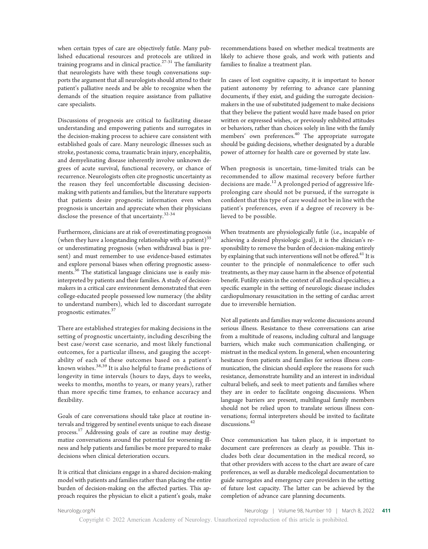when certain types of care are objectively futile. Many published educational resources and protocols are utilized in training programs and in clinical practice. $27-31$  The familiarity that neurologists have with these tough conversations supports the argument that all neurologists should attend to their patient's palliative needs and be able to recognize when the demands of the situation require assistance from palliative care specialists.

Discussions of prognosis are critical to facilitating disease understanding and empowering patients and surrogates in the decision-making process to achieve care consistent with established goals of care. Many neurologic illnesses such as stroke, postanoxic coma, traumatic brain injury, encephalitis, and demyelinating disease inherently involve unknown degrees of acute survival, functional recovery, or chance of recurrence. Neurologists often cite prognostic uncertainty as the reason they feel uncomfortable discussing decisionmaking with patients and families, but the literature supports that patients desire prognostic information even when prognosis is uncertain and appreciate when their physicians disclose the presence of that uncertainty.<sup>32-34</sup>

Furthermore, clinicians are at risk of overestimating prognosis (when they have a longstanding relationship with a patient)<sup>35</sup> or underestimating prognosis (when withdrawal bias is present) and must remember to use evidence-based estimates and explore personal biases when offering prognostic assessments.<sup>36</sup> The statistical language clinicians use is easily misinterpreted by patients and their families. A study of decisionmakers in a critical care environment demonstrated that even college-educated people possessed low numeracy (the ability to understand numbers), which led to discordant surrogate prognostic estimates.<sup>37</sup>

There are established strategies for making decisions in the setting of prognostic uncertainty, including describing the best case/worst case scenario, and most likely functional outcomes, for a particular illness, and gauging the acceptability of each of these outcomes based on a patient's known wishes.38,39 It is also helpful to frame predictions of longevity in time intervals (hours to days, days to weeks, weeks to months, months to years, or many years), rather than more specific time frames, to enhance accuracy and flexibility.

Goals of care conversations should take place at routine intervals and triggered by sentinel events unique to each disease process.<sup>17</sup> Addressing goals of care as routine may destigmatize conversations around the potential for worsening illness and help patients and families be more prepared to make decisions when clinical deterioration occurs.

It is critical that clinicians engage in a shared decision-making model with patients and families rather than placing the entire burden of decision-making on the affected parties. This approach requires the physician to elicit a patient's goals, make

recommendations based on whether medical treatments are likely to achieve those goals, and work with patients and families to finalize a treatment plan.

In cases of lost cognitive capacity, it is important to honor patient autonomy by referring to advance care planning documents, if they exist, and guiding the surrogate decisionmakers in the use of substituted judgement to make decisions that they believe the patient would have made based on prior written or expressed wishes, or previously exhibited attitudes or behaviors, rather than choices solely in line with the family members' own preferences.<sup>40</sup> The appropriate surrogate should be guiding decisions, whether designated by a durable power of attorney for health care or governed by state law.

When prognosis is uncertain, time-limited trials can be recommended to allow maximal recovery before further decisions are made.<sup>12</sup> A prolonged period of aggressive lifeprolonging care should not be pursued, if the surrogate is confident that this type of care would not be in line with the patient's preferences, even if a degree of recovery is believed to be possible.

When treatments are physiologically futile (i.e., incapable of achieving a desired physiologic goal), it is the clinician's responsibility to remove the burden of decision-making entirely by explaining that such interventions will not be offered.<sup>41</sup> It is counter to the principle of nonmaleficence to offer such treatments, as they may cause harm in the absence of potential benefit. Futility exists in the context of all medical specialties; a specific example in the setting of neurologic disease includes cardiopulmonary resuscitation in the setting of cardiac arrest due to irreversible herniation.

Not all patients and families may welcome discussions around serious illness. Resistance to these conversations can arise from a multitude of reasons, including cultural and language barriers, which make such communication challenging, or mistrust in the medical system. In general, when encountering hesitance from patients and families for serious illness communication, the clinician should explore the reasons for such resistance, demonstrate humility and an interest in individual cultural beliefs, and seek to meet patients and families where they are in order to facilitate ongoing discussions. When language barriers are present, multilingual family members should not be relied upon to translate serious illness conversations; formal interpreters should be invited to facilitate discussions.<sup>42</sup>

Once communication has taken place, it is important to document care preferences as clearly as possible. This includes both clear documentation in the medical record, so that other providers with access to the chart are aware of care preferences, as well as durable medicolegal documentation to guide surrogates and emergency care providers in the setting of future lost capacity. The latter can be achieved by the completion of advance care planning documents.

[Neurology.org/N](http://neurology.org/n) Neurology | Volume 98, Number 10 | March 8, 2022 411 Copyright © 2022 American Academy of Neurology. Unauthorized reproduction of this article is prohibited.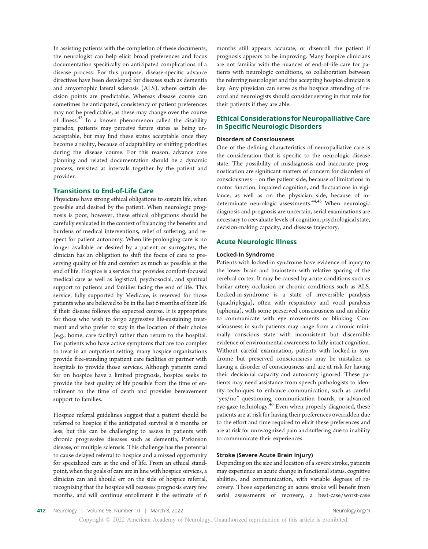In assisting patients with the completion of these documents, the neurologist can help elicit broad preferences and focus documentation specifically on anticipated complications of a disease process. For this purpose, disease-specific advance directives have been developed for diseases such as dementia and amyotrophic lateral sclerosis (ALS), where certain decision points are predictable. Whereas disease course can sometimes be anticipated, consistency of patient preferences may not be predictable, as these may change over the course of illness.<sup>43</sup> In a known phenomenon called the disability paradox, patients may perceive future states as being unacceptable, but may find these states acceptable once they become a reality, because of adaptability or shifting priorities during the disease course. For this reason, advance care planning and related documentation should be a dynamic process, revisited at intervals together by the patient and provider.

# Transitions to End-of-Life Care

Physicians have strong ethical obligations to sustain life, when possible and desired by the patient. When neurologic prognosis is poor, however, these ethical obligations should be carefully evaluated in the context of balancing the benefits and burdens of medical interventions, relief of suffering, and respect for patient autonomy. When life-prolonging care is no longer available or desired by a patient or surrogates, the clinician has an obligation to shift the focus of care to preserving quality of life and comfort as much as possible at the end of life. Hospice is a service that provides comfort-focused medical care as well as logistical, psychosocial, and spiritual support to patients and families facing the end of life. This service, fully supported by Medicare, is reserved for those patients who are believed to be in the last 6 months of their life if their disease follows the expected course. It is appropriate for those who wish to forgo aggressive life-sustaining treatment and who prefer to stay in the location of their choice (e.g., home, care facility) rather than return to the hospital. For patients who have active symptoms that are too complex to treat in an outpatient setting, many hospice organizations provide free-standing inpatient care facilities or partner with hospitals to provide those services. Although patients cared for on hospice have a limited prognosis, hospice seeks to provide the best quality of life possible from the time of enrollment to the time of death and provides bereavement support to families.

Hospice referral guidelines suggest that a patient should be referred to hospice if the anticipated survival is 6 months or less, but this can be challenging to assess in patients with chronic progressive diseases such as dementia, Parkinson disease, or multiple sclerosis. This challenge has the potential to cause delayed referral to hospice and a missed opportunity for specialized care at the end of life. From an ethical standpoint, when the goals of care are in line with hospice services, a clinician can and should err on the side of hospice referral, recognizing that the hospice will reassess prognosis every few months, and will continue enrollment if the estimate of 6

months still appears accurate, or disenroll the patient if prognosis appears to be improving. Many hospice clinicians are not familiar with the nuances of end-of-life care for patients with neurologic conditions, so collaboration between the referring neurologist and the accepting hospice clinician is key. Any physician can serve as the hospice attending of record and neurologists should consider serving in that role for their patients if they are able.

#### Ethical Considerations for Neuropalliative Care in Specific Neurologic Disorders

# Disorders of Consciousness

One of the defining characteristics of neuropalliative care is the consideration that is specific to the neurologic disease state. The possibility of misdiagnosis and inaccurate prognostication are significant matters of concern for disorders of consciousness—on the patient side, because of limitations in motor function, impaired cognition, and fluctuations in vigilance, as well as on the physician side, because of indeterminate neurologic assessments.<sup>44,45</sup> When neurologic diagnosis and prognosis are uncertain, serial examinations are necessary to reevaluate levels of cognition, psychological state, decision-making capacity, and disease trajectory.

# Acute Neurologic Illness

#### Locked-In Syndrome

Patients with locked-in syndrome have evidence of injury to the lower brain and brainstem with relative sparing of the cerebral cortex. It may be caused by acute conditions such as basilar artery occlusion or chronic conditions such as ALS. Locked-in-syndrome is a state of irreversible paralysis (quadriplegia), often with respiratory and vocal paralysis (aphonia), with some preserved consciousness and an ability to communicate with eye movements or blinking. Consciousness in such patients may range from a chronic minimally conscious state with inconsistent but discernible evidence of environmental awareness to fully intact cognition. Without careful examination, patients with locked-in syndrome but preserved consciousness may be mistaken as having a disorder of consciousness and are at risk for having their decisional capacity and autonomy ignored. These patients may need assistance from speech pathologists to identify techniques to enhance communication, such as careful "yes/no" questioning, communication boards, or advanced eye-gaze technology.<sup>46</sup> Even when properly diagnosed, these patients are at risk for having their preferences overridden due to the effort and time required to elicit these preferences and are at risk for unrecognized pain and suffering due to inability to communicate their experiences.

#### Stroke (Severe Acute Brain Injury)

Depending on the size and location of a severe stroke, patients may experience an acute change in functional status, cognitive abilities, and communication, with variable degrees of recovery. Those experiencing an acute stroke will benefit from serial assessments of recovery, a best-case/worst-case

Copyright © 2022 American Academy of Neurology. Unauthorized reproduction of this article is prohibited.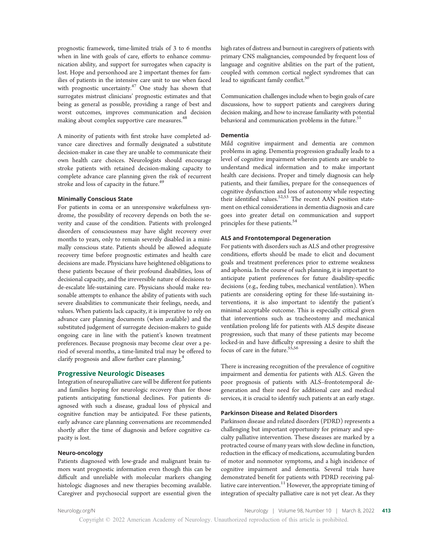prognostic framework, time-limited trials of 3 to 6 months when in line with goals of care, efforts to enhance communication ability, and support for surrogates when capacity is lost. Hope and personhood are 2 important themes for families of patients in the intensive care unit to use when faced with prognostic uncertainty. $47$  One study has shown that surrogates mistrust clinicians' prognostic estimates and that being as general as possible, providing a range of best and worst outcomes, improves communication and decision making about complex supportive care measures.<sup>48</sup>

A minority of patients with first stroke have completed advance care directives and formally designated a substitute decision-maker in case they are unable to communicate their own health care choices. Neurologists should encourage stroke patients with retained decision-making capacity to complete advance care planning given the risk of recurrent stroke and loss of capacity in the future.<sup>49</sup>

#### Minimally Conscious State

For patients in coma or an unresponsive wakefulness syndrome, the possibility of recovery depends on both the severity and cause of the condition. Patients with prolonged disorders of consciousness may have slight recovery over months to years, only to remain severely disabled in a minimally conscious state. Patients should be allowed adequate recovery time before prognostic estimates and health care decisions are made. Physicians have heightened obligations to these patients because of their profound disabilities, loss of decisional capacity, and the irreversible nature of decisions to de-escalate life-sustaining care. Physicians should make reasonable attempts to enhance the ability of patients with such severe disabilities to communicate their feelings, needs, and values. When patients lack capacity, it is imperative to rely on advance care planning documents (when available) and the substituted judgement of surrogate decision-makers to guide ongoing care in line with the patient's known treatment preferences. Because prognosis may become clear over a period of several months, a time-limited trial may be offered to clarify prognosis and allow further care planning.<sup>4</sup>

#### Progressive Neurologic Diseases

Integration of neuropalliative care will be different for patients and families hoping for neurologic recovery than for those patients anticipating functional declines. For patients diagnosed with such a disease, gradual loss of physical and cognitive function may be anticipated. For these patients, early advance care planning conversations are recommended shortly after the time of diagnosis and before cognitive capacity is lost.

#### Neuro-oncology

Patients diagnosed with low-grade and malignant brain tumors want prognostic information even though this can be difficult and unreliable with molecular markers changing histologic diagnoses and new therapies becoming available. Caregiver and psychosocial support are essential given the

high rates of distress and burnout in caregivers of patients with primary CNS malignancies, compounded by frequent loss of language and cognitive abilities on the part of the patient, coupled with common cortical neglect syndromes that can lead to significant family conflict.<sup>50</sup>

Communication challenges include when to begin goals of care discussions, how to support patients and caregivers during decision making, and how to increase familiarity with potential behavioral and communication problems in the future.<sup>51</sup>

#### Dementia

Mild cognitive impairment and dementia are common problems in aging. Dementia progression gradually leads to a level of cognitive impairment wherein patients are unable to understand medical information and to make important health care decisions. Proper and timely diagnosis can help patients, and their families, prepare for the consequences of cognitive dysfunction and loss of autonomy while respecting their identified values.<sup>52,53</sup> The recent AAN position statement on ethical considerations in dementia diagnosis and care goes into greater detail on communication and support principles for these patients.<sup>54</sup>

#### ALS and Frontotemporal Degeneration

For patients with disorders such as ALS and other progressive conditions, efforts should be made to elicit and document goals and treatment preferences prior to extreme weakness and aphonia. In the course of such planning, it is important to anticipate patient preferences for future disability-specific decisions (e.g., feeding tubes, mechanical ventilation). When patients are considering opting for these life-sustaining interventions, it is also important to identify the patient's minimal acceptable outcome. This is especially critical given that interventions such as tracheostomy and mechanical ventilation prolong life for patients with ALS despite disease progression, such that many of these patients may become locked-in and have difficulty expressing a desire to shift the focus of care in the future.<sup>55,56</sup>

There is increasing recognition of the prevalence of cognitive impairment and dementia for patients with ALS. Given the poor prognosis of patients with ALS–frontotemporal degeneration and their need for additional care and medical services, it is crucial to identify such patients at an early stage.

#### Parkinson Disease and Related Disorders

Parkinson disease and related disorders (PDRD) represents a challenging but important opportunity for primary and specialty palliative intervention. These diseases are marked by a protracted course of many years with slow decline in function, reduction in the efficacy of medications, accumulating burden of motor and nonmotor symptoms, and a high incidence of cognitive impairment and dementia. Several trials have demonstrated benefit for patients with PDRD receiving palliative care intervention.<sup>11</sup> However, the appropriate timing of integration of specialty palliative care is not yet clear. As they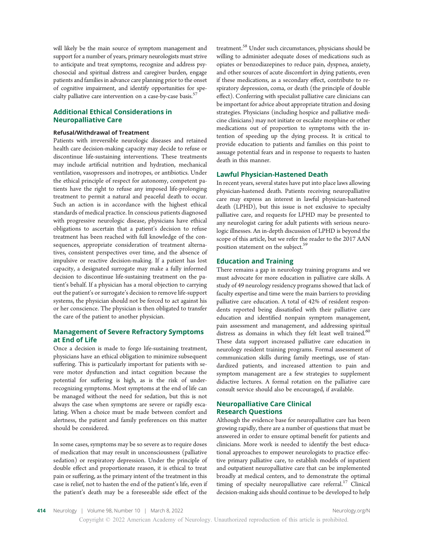will likely be the main source of symptom management and support for a number of years, primary neurologists must strive to anticipate and treat symptoms, recognize and address psychosocial and spiritual distress and caregiver burden, engage patients and families in advance care planning prior to the onset of cognitive impairment, and identify opportunities for specialty palliative care intervention on a case-by-case basis.<sup>57</sup>

# Additional Ethical Considerations in Neuropalliative Care

#### Refusal/Withdrawal of Treatment

Patients with irreversible neurologic diseases and retained health care decision-making capacity may decide to refuse or discontinue life-sustaining interventions. These treatments may include artificial nutrition and hydration, mechanical ventilation, vasopressors and inotropes, or antibiotics. Under the ethical principle of respect for autonomy, competent patients have the right to refuse any imposed life-prolonging treatment to permit a natural and peaceful death to occur. Such an action is in accordance with the highest ethical standards of medical practice. In conscious patients diagnosed with progressive neurologic disease, physicians have ethical obligations to ascertain that a patient's decision to refuse treatment has been reached with full knowledge of the consequences, appropriate consideration of treatment alternatives, consistent perspectives over time, and the absence of impulsive or reactive decision-making. If a patient has lost capacity, a designated surrogate may make a fully informed decision to discontinue life-sustaining treatment on the patient's behalf. If a physician has a moral objection to carrying out the patient's or surrogate's decision to remove life-support systems, the physician should not be forced to act against his or her conscience. The physician is then obligated to transfer the care of the patient to another physician.

# Management of Severe Refractory Symptoms at End of Life

Once a decision is made to forgo life-sustaining treatment, physicians have an ethical obligation to minimize subsequent suffering. This is particularly important for patients with severe motor dysfunction and intact cognition because the potential for suffering is high, as is the risk of underrecognizing symptoms. Most symptoms at the end of life can be managed without the need for sedation, but this is not always the case when symptoms are severe or rapidly escalating. When a choice must be made between comfort and alertness, the patient and family preferences on this matter should be considered.

In some cases, symptoms may be so severe as to require doses of medication that may result in unconsciousness (palliative sedation) or respiratory depression. Under the principle of double effect and proportionate reason, it is ethical to treat pain or suffering, as the primary intent of the treatment in this case is relief, not to hasten the end of the patient's life, even if the patient's death may be a foreseeable side effect of the

treatment.<sup>58</sup> Under such circumstances, physicians should be willing to administer adequate doses of medications such as opiates or benzodiazepines to reduce pain, dyspnea, anxiety, and other sources of acute discomfort in dying patients, even if these medications, as a secondary effect, contribute to respiratory depression, coma, or death (the principle of double effect). Conferring with specialist palliative care clinicians can be important for advice about appropriate titration and dosing strategies. Physicians (including hospice and palliative medicine clinicians) may not initiate or escalate morphine or other medications out of proportion to symptoms with the intention of speeding up the dying process. It is critical to provide education to patients and families on this point to assuage potential fears and in response to requests to hasten death in this manner.

# Lawful Physician-Hastened Death

In recent years, several states have put into place laws allowing physician-hastened death. Patients receiving neuropalliative care may express an interest in lawful physician-hastened death (LPHD), but this issue is not exclusive to specialty palliative care, and requests for LPHD may be presented to any neurologist caring for adult patients with serious neurologic illnesses. An in-depth discussion of LPHD is beyond the scope of this article, but we refer the reader to the 2017 AAN position statement on the subject.<sup>59</sup>

# Education and Training

There remains a gap in neurology training programs and we must advocate for more education in palliative care skills. A study of 49 neurology residency programs showed that lack of faculty expertise and time were the main barriers to providing palliative care education. A total of 42% of resident respondents reported being dissatisfied with their palliative care education and identified nonpain symptom management, pain assessment and management, and addressing spiritual distress as domains in which they felt least well trained.<sup>60</sup> These data support increased palliative care education in neurology resident training programs. Formal assessment of communication skills during family meetings, use of standardized patients, and increased attention to pain and symptom management are a few strategies to supplement didactive lectures. A formal rotation on the palliative care consult service should also be encouraged, if available.

# Neuropalliative Care Clinical Research Questions

Although the evidence base for neuropalliative care has been growing rapidly, there are a number of questions that must be answered in order to ensure optimal benefit for patients and clinicians. More work is needed to identify the best educational approaches to empower neurologists to practice effective primary palliative care, to establish models of inpatient and outpatient neuropalliative care that can be implemented broadly at medical centers, and to demonstrate the optimal timing of specialty neuropalliative care referral.<sup>17</sup> Clinical decision-making aids should continue to be developed to help

Copyright © 2022 American Academy of Neurology. Unauthorized reproduction of this article is prohibited.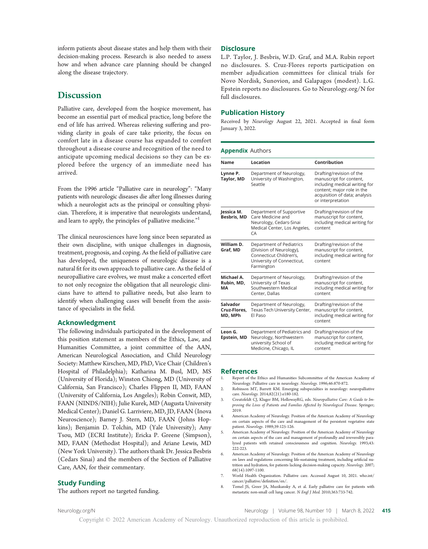inform patients about disease states and help them with their decision-making process. Research is also needed to assess how and when advance care planning should be changed along the disease trajectory.

# **Discussion**

Palliative care, developed from the hospice movement, has become an essential part of medical practice, long before the end of life has arrived. Whereas relieving suffering and providing clarity in goals of care take priority, the focus on comfort late in a disease course has expanded to comfort throughout a disease course and recognition of the need to anticipate upcoming medical decisions so they can be explored before the urgency of an immediate need has arrived.

From the 1996 article "Palliative care in neurology": "Many patients with neurologic diseases die after long illnesses during which a neurologist acts as the principal or consulting physician. Therefore, it is imperative that neurologists understand, and learn to apply, the principles of palliative medicine."<sup>1</sup>

The clinical neurosciences have long since been separated as their own discipline, with unique challenges in diagnosis, treatment, prognosis, and coping. As the field of palliative care has developed, the uniqueness of neurologic disease is a natural fit for its own approach to palliative care. As the field of neuropalliative care evolves, we must make a concerted effort to not only recognize the obligation that all neurologic clinicians have to attend to palliative needs, but also learn to identify when challenging cases will benefit from the assistance of specialists in the field.

# Acknowledgment

The following individuals participated in the development of this position statement as members of the Ethics, Law, and Humanities Committee, a joint committee of the AAN, American Neurological Association, and Child Neurology Society: Matthew Kirschen, MD, PhD, Vice Chair (Children's Hospital of Philadelphia); Katharina M. Busl, MD, MS (University of Florida); Winston Chiong, MD (University of California, San Francisco); Charles Flippen II, MD, FAAN (University of California, Los Angeles); Robin Conwit, MD, FAAN (NINDS/NIH); Julie Kurek, MD (Augusta University Medical Center); Daniel G. Larriviere, MD, JD, FAAN (Inova Neuroscience); Barney J. Stern, MD, FAAN (Johns Hopkins); Benjamin D. Tolchin, MD (Yale University); Amy Tsou, MD (ECRI Institute); Ericka P. Greene (Simpson), MD, FAAN (Methodist Hospital); and Ariane Lewis, MD (New York University). The authors thank Dr. Jessica Besbris (Cedars Sinai) and the members of the Section of Palliative Care, AAN, for their commentary.

# Study Funding

The authors report no targeted funding.

# **Disclosure**

L.P. Taylor, J. Besbris, W.D. Graf, and M.A. Rubin report no disclosures. S. Cruz-Flores reports participation on member adjudication committees for clinical trials for Novo Nordisk, Sunovion, and Galapagos (modest). L.G. Epstein reports no disclosures. Go to [Neurology.org/N](https://n.neurology.org/lookup/doi/10.1212/WNL.0000000000200063) for full disclosures.

# Publication History

Received by Neurology August 22, 2021. Accepted in final form January 3, 2022.

#### Appendix Authors

| Name                                | Location                                                                                                                    | Contribution                                                                                                                                                             |
|-------------------------------------|-----------------------------------------------------------------------------------------------------------------------------|--------------------------------------------------------------------------------------------------------------------------------------------------------------------------|
| Lynne P.<br><b>Taylor, MD</b>       | Department of Neurology,<br>University of Washington,<br>Seattle                                                            | Drafting/revision of the<br>manuscript for content,<br>including medical writing for<br>content; major role in the<br>acquisition of data; analysis<br>or interpretation |
| Jessica M.<br><b>Besbris, MD</b>    | Department of Supportive<br>Care Medicine and<br>Neurology, Cedars-Sinai<br>Medical Center, Los Angeles,<br>CA              | Drafting/revision of the<br>manuscript for content,<br>including medical writing for<br>content                                                                          |
| William D.<br>Graf, MD              | Department of Pediatrics<br>(Division of Neurology),<br>Connecticut Children's.<br>University of Connecticut,<br>Farmington | Drafting/revision of the<br>manuscript for content,<br>including medical writing for<br>content                                                                          |
| Michael A.<br>Rubin, MD,<br>MА      | Department of Neurology,<br>University of Texas<br>Southwestern Medical<br>Center, Dallas                                   | Drafting/revision of the<br>manuscript for content,<br>including medical writing for<br>content                                                                          |
| Salvador<br>Cruz-Flores.<br>MD, MPh | Department of Neurology,<br>Texas Tech University Center,<br>FI Paso                                                        | Drafting/revision of the<br>manuscript for content,<br>including medical writing for<br>content                                                                          |
| Leon G.<br>Epstein, MD              | Department of Pediatrics and<br>Neurology, Northwestern<br>university School of<br>Medicine, Chicago, IL                    | Drafting/revision of the<br>manuscript for content,<br>including medical writing for<br>content                                                                          |

#### References

- Report of the Ethics and Humanities Subcommittee of the American Academy of Neurology. Palliative care in neurology. Neurology. 1996;46:870-872.
- 2. Robinson MT, Barrett KM. Emerging subspecialties in neurology: neuropalliative care. Neurology. 2014;82(21):e180-182.
- 3. Creutzfeldt CJ, Kluger BM, HollowayRG, eds. Neuropalliative Care: A Guide to Improving the Lives of Patients and Families Affected by Neurological Disease. Springer; 2019.
- 4. American Academy of Neurology. Position of the American Academy of Neurology on certain aspects of the care and management of the persistent vegetative state patient. Neurology. 1989;39:125-126.
- 5. American Academy of Neurology. Position of the American Academy of Neurology on certain aspects of the care and management of profoundly and irreversibly paralyzed patients with retained consciousness and cognition. Neurology. 1993;43: 222-223.
- 6. American Academy of Neurology. Position of the American Academy of Neurology on laws and regulations concerning life-sustaining treatment, including artificial nutrition and hydration, for patients lacking decision-making capacity. Neurology. 2007; 68(14):1097-1100.
- 7. World Health Organization. Palliative care. Accessed August 10, 2021. [who.int/](http://www.who.int/cancer/palliative/definition/en/) [cancer/palliative/de](http://www.who.int/cancer/palliative/definition/en/)finition/en/.
- 8. Temel JS, Greer JA, Muzikansky A, et al. Early palliative care for patients with metastatic non-small cell lung cancer. N Engl J Med. 2010;363:733-742.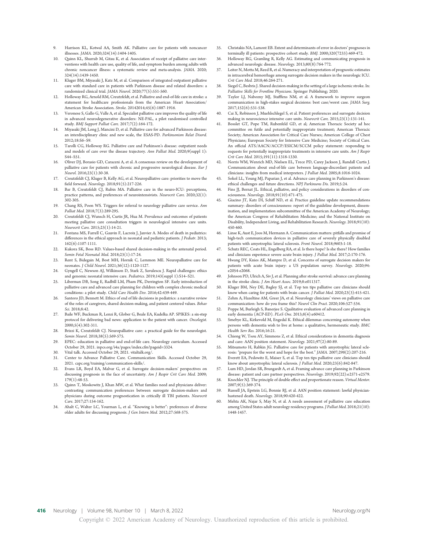- 9. Harrison KL, Kotwal AA, Smith AK. Palliative care for patients with noncancer illnesses. JAMA. 2020;324(14):1404-1405.
- 10. Quinn KL, Shurrab M, Gitau K, et al. Association of receipt of palliative care interventions with health care use, quality of life, and symptom burden among adults with chronic noncancer illness: a systematic review and meta-analysis. JAMA. 2020; 324(14):1439-1450.
- 11. Kluger BM, Miyasaki J, Katz M, et al. Comparison of integrated outpatient palliative care with standard care in patients with Parkinson disease and related disorders: a randomized clinical trial. JAMA Neurol. 2020;77(5):551-560.
- 12. Holloway RG, Arnold RM, Creutzfeldt, et al. Palliative and end-of-life care in stroke: a statement for healthcare professionals from the American Heart Association/ American Stroke Association. Stroke. 20142014;45(6):1887-1916.
- Veronese S, Gallo G, Valle A, et al. Specialist palliative care improves the quality of life in advanced neurodegenerative disorders: NE-PAL, a pilot randomised controlled study. BMJ Support Palliat Care. 2017;7(2):164-172.
- 14. Miyasaki JM, Long J, Mancini D, et al. Palliative care for advanced Parkinson disease: an interdisciplinary clinic and new scale, the ESAS-PD. Parkinsonism Relat Disord. 2012;18:S6–S9.
- 15. Tarolli CG, Holloway RG. Palliative care and Parkinson's disease: outpatient needs and models of care over the disease trajectory. Ann Palliat Med. 2020;9(suppl 1): S44–S51.
- 16. Oliver DJ, Borasio GD, Caraceni A, et al. A consensus review on the development of palliative care for patients with chronic and progressive neurological disease. Eur J Neurol. 2016;23(1):30-38.
- 17. Creutzfeldt CJ, Kluger B, Kelly AG, et al. Neuropalliative care: priorities to move the field forward. Neurology. 2018;91(5):217-226.
- 18. Bar B, Creutzfeldt CJ, Rubin MA. Palliative care in the neuro-ICU: perceptions, practice patterns, and preferences of neurointensivists. Neurocrit Care. 2020;32(1): 302-305.
- 19. Chang RS, Poon WS. Triggers for referral to neurology palliative care service. Ann Palliat Med. 2018;7(3):289-295.
- 20. Creutzfeldt CL Wunsch H, Curtis JR, Hua M, Prevalence and outcomes of patients meeting palliative care consultation triggers in neurological intensive care units. Neurocrit Care. 2015;23(1):14-21.
- 21. Fontana MS, Farrell C, Gauvin F, Lacroix J, Janvier A. Modes of death in pediatrics: differences in the ethical approach in neonatal and pediatric patients. J Pediatr. 2013; 162(6):1107-1111.
- 22. Kukora SK, Boss RD. Values-based shared decision-making in the antenatal period. Semin Fetal Neonatal Med. 2018;23(1):17-24.
- 23. Rent S, Bidegain M, Bost MH, Hornik C, Lemmon ME. Neuropalliative care for neonates. J Child Neurol. 2021;36(12):1120-1127.
- 24. Gyngell C, Newson AJ, Wilkinson D, Stark Z, Savulescu J. Rapid challenges: ethics and genomic neonatal intensive care. Pediatrics. 2019;143(suppl 1):S14–S21.
- 25. Liberman DB, Song E, Radbill LM, Pham PK, Derrington SF. Early introduction of palliative care and advanced care planning for children with complex chronic medical conditions: a pilot study. Child Care Health Dev. 2016;42:439-449.
- 26. Santoro JD, Bennett M. Ethics of end of life decisions in pediatrics: a narrative review of the roles of caregivers, shared decision-making, and patient centered values. Behav Sci. 2018;8:42.
- 27. Baile WF, Buckman R, Lenzi R, Glober G, Beale EA, Kudelka AP. SPIKES: a six-step protocol for delivering bad news: application to the patient with cancer. Oncologist. 2000;5(4):302-311.
- 28. Brizzi K, Creutzfeldt CJ. Neuropalliative care: a practical guide for the neurologist. Semin Neurol. 2018;38(5):569-575.
- 29. EPEC: education in palliative and end-of-life care. Neurology curriculum. Accessed October 29, 2021. [inpcs.org/i4a/pages/index.cfm?pageid](http://inpcs.org/i4a/pages/index.cfm?pageid=3324)=[3324.](http://inpcs.org/i4a/pages/index.cfm?pageid=3324)
- 30. Vital talk. Accessed October 29, 2021. [vitaltalk.org/.](http://vitaltalk.org/)
- 31. Center to Advance Palliative Care. Communication Skills. Accessed October 29, 2021. [capc.org/training/communication-skills/.](http://capc.org/training/communication-skills/)
- 32. Evans LR, Boyd EA, Malvar G, et al. Surrogate decision-makers' perspectives on discussing prognosis in the face of uncertainty. Am J Respir Crit Care Med. 2009; 179(1):48-53.
- 33. Quinn T, Moskowitz J, Khan MW, et al. What families need and physicians deliver: contrasting communication preferences between surrogate decision-makers and physicians during outcome prognostication in critically ill TBI patients. Neurocrit Care. 2017;27:154-162.
- Ahalt C, Walter LC, Yourman L, et al. "Knowing is better": preferences of diverse older adults for discussing prognosis. J Gen Intern Med. 2012;27:568-575.
- 35. Christakis NA, Lamont EB. Extent and determinants of error in doctors' prognoses in terminally ill patients: prospective cohort study. BMJ. 2000;320(7233):469-472.
- 36. Holloway RG, Gramling R, Kelly AG. Estimating and communicating prognosis in advanced neurologic disease. Neurology. 2013;80(8):764-772.
- 37. Leiter N, Motta M, Reed R, et al. Numeracy and interpretation of prognostic estimates in intracerebral hemorrhage among surrogate decision makers in the neurologic ICU. Crit Care Med. 2018;46:264-271.
- 38. Siegel C, Besbris J. Shared decision-making in the setting of a large ischemic stroke. In: Palliative Skills for Frontline Physicians. Springer Publishing; 2020.
- 39. Taylor LJ, Nabozny MJ, Stafffens NM, et al. A framework to improve surgeon communication in high-stakes surgical decisions: best case/worst case. JAMA Surg. 2017;152(6):531-538.
- 40. Cai X, Robinson J, Muehlschlegel S, et al. Patient preferences and surrogate decision making in neuroscience intensive care units. Neurocrit Care. 2015;23(1):131-141.
- 41. Bosslet GT, Pope TM, Rubenfeld GD, et al; American Thoracic Society ad hoc committee on futile and potentially inappropriate treatment; American Thoracic Society; American Association for Critical Care Nurses; American College of Chest Physicians; European Society for Intensive Care Medicine; Society of Critical Care. An official ATS/AACN/ACCP/ESICM/SCCM policy statement: responding to requests for potentially inappropriate treatments in intensive care units. Am J Respir Crit Care Med. 2015;191(11):1318-1330.
- 42. Norris WM, Wenrich MD, Nielsen EL, Trece PD, Carey Jackson J, Randall Curtis J. Communication about end-of-life care between language-discordant patients and clinicians: insights from medical interpreters. J Palliat Med. 2005;8:1016-1024.
- 43. Sokol LL, Young MJ, Paparian J, et al. Advance care planning in Parkinson's disease: ethical challenges and future directions. NPJ Parkinsons Dis. 2019;5:24.
- 44. Fins JJ, Bernat JL. Ethical, palliative, and policy considerations in disorders of consciousness. Neurology. 2018;91(10):471-475.
- 45. Giacino JT, Katz DI, Schiff ND, et al. Practice guideline update recommendations summary: disorders of consciousness: report of the guideline development, dissemination, and implementation subcommittee of the American Academy of Neurology; the American Congress of Rehabilitation Medicine; and the National Institute on Disability, Independent Living, and Rehabilitation Research. Neurology. 2018;91(10): 450-460.
- 46. Linse K, Aust E, Joos M, Hermann A. Communication matters: pitfalls and promise of high-tech communication devices in palliative care of severely physically disabled patients with amyotrophic lateral sclerosis. Front Neurol. 2018;9603:1-18.
- 47. Schutz REC, Coats HL, Engelberg RA, et al. Is there hope? Is she there? How families and clinicians experience severe acute brain injury. J Palliat Med. 2017;2:170-176.
- 48. Hwang DY, Knies AK, Mampre D, et al. Concerns of surrogate decision makers for patients with acute brain injury: a US population survey. Neurology. 2020;94: e2054-e2068.
- 49. Johnson PD, Ulrich A, Siv J, et al. Planning after stroke survival: advance care planning in the stroke clinic. J Am Heart Assoc. 2019;8:e011317.
- 50. Kluger BM, Ney DE, Bagley SJ, et al. Top ten tips palliative care clinicians should know when caring for patients with brain cancer. J Palliat Med. 2020;23(3):415-421.
- 51. Zehm A, Hazeltine AM, Greer JA, et al. Neurology clinicians' views on palliative care communication: how do you frame this? Neurol Clin Pract. 2020;106:527-534.
- 52. Poppe M, Burleigh S, Banerjee S. Qualitative evaluation of advanced care planning in early dementia (ACP-ED). PLoS One. 2013;8(4):e60412.
- 53. Smebye KL, Kirkevold M, Engedal K. Ethical dilemmas concerning autonomy when persons with dementia wish to live at home: a qualitative, hermeneutic study. BMC Health Serv Res. 2016;16:21.
- 54. Chiong W, Tsou AY, Simmons Z, et al. Ethical considerations in dementia diagnosis and care: AAN position statement. Neurology. 2021;97(2):80-89.
- 55. Mitsumoto H, Rabkin JG. Palliative care for patients with amyotrophic lateral sclerosis: "prepare for the worst and hope for the best." JAMA. 2007;298(2):207-216.
- 56. Everett EA, Pedowitz E, Maiser S, et al. Top ten tips palliative care clinicians should know about amyotrophic lateral sclerosis. J Palliat Med. 2020;23(6):842-847.
- 57. Lum HD, Jordan SR, Brungardt A, et al. Framing advance care planning in Parkinson disease: patient and care partner perspectives. Neurology. 2019;92(22):e2571-e2579. 58. Knochler NJ. The principle of double effect and proportionate reason. Virtual Mentor.
- 2007;9(5):369-374.
- 59. Russell JA, Epstein LG, Bonnie RJ, et al. AAN position statement: lawful physicianhastened death. Neurology. 2018;90:420-422.
- 60. Mehta AK, Najar S, May N, et al. A needs assessment of palliative care education among United States adult neurology residency programs. J Palliat Med. 2018;21(10): 1448-1457.